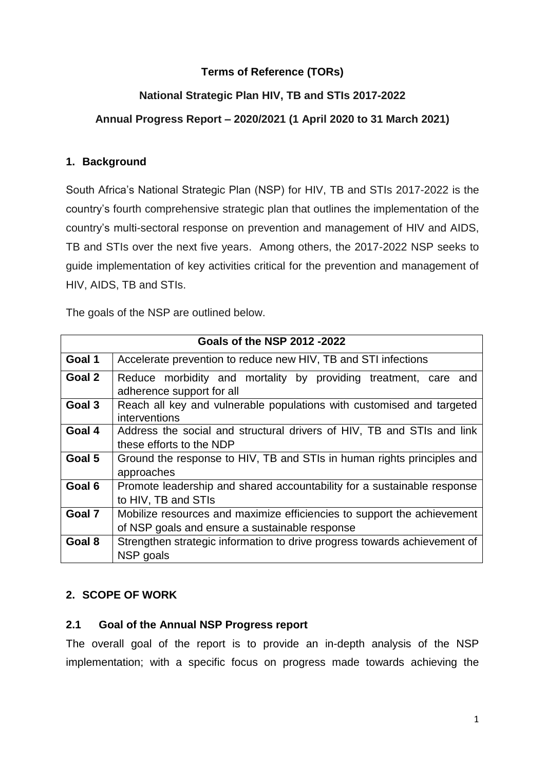#### **Terms of Reference (TORs)**

### **National Strategic Plan HIV, TB and STIs 2017-2022**

#### **Annual Progress Report – 2020/2021 (1 April 2020 to 31 March 2021)**

#### **1. Background**

South Africa's National Strategic Plan (NSP) for HIV, TB and STIs 2017-2022 is the country's fourth comprehensive strategic plan that outlines the implementation of the country's multi-sectoral response on prevention and management of HIV and AIDS, TB and STIs over the next five years. Among others, the 2017-2022 NSP seeks to guide implementation of key activities critical for the prevention and management of HIV, AIDS, TB and STIs.

The goals of the NSP are outlined below.

| Goals of the NSP 2012 -2022 |                                                                           |
|-----------------------------|---------------------------------------------------------------------------|
| Goal 1                      | Accelerate prevention to reduce new HIV, TB and STI infections            |
| Goal 2                      | Reduce morbidity and mortality by providing treatment, care and           |
|                             | adherence support for all                                                 |
| Goal 3                      | Reach all key and vulnerable populations with customised and targeted     |
|                             | interventions                                                             |
| Goal 4                      | Address the social and structural drivers of HIV, TB and STIs and link    |
|                             | these efforts to the NDP                                                  |
| Goal 5                      | Ground the response to HIV, TB and STIs in human rights principles and    |
|                             | approaches                                                                |
| Goal 6                      | Promote leadership and shared accountability for a sustainable response   |
|                             | to HIV, TB and STIs                                                       |
| Goal 7                      | Mobilize resources and maximize efficiencies to support the achievement   |
|                             | of NSP goals and ensure a sustainable response                            |
| Goal 8                      | Strengthen strategic information to drive progress towards achievement of |
|                             | NSP goals                                                                 |

#### **2. SCOPE OF WORK**

#### **2.1 Goal of the Annual NSP Progress report**

The overall goal of the report is to provide an in-depth analysis of the NSP implementation; with a specific focus on progress made towards achieving the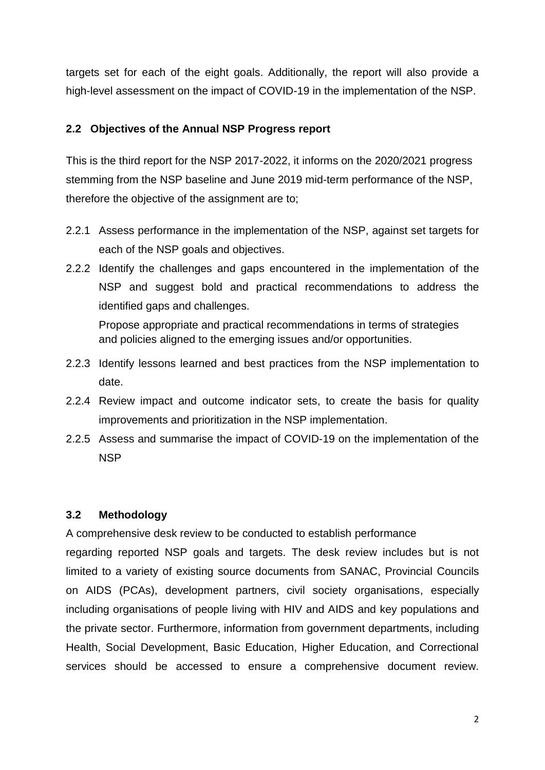targets set for each of the eight goals. Additionally, the report will also provide a high-level assessment on the impact of COVID-19 in the implementation of the NSP.

#### **2.2 Objectives of the Annual NSP Progress report**

This is the third report for the NSP 2017-2022, it informs on the 2020/2021 progress stemming from the NSP baseline and June 2019 mid-term performance of the NSP, therefore the objective of the assignment are to;

- 2.2.1 Assess performance in the implementation of the NSP, against set targets for each of the NSP goals and objectives.
- 2.2.2 Identify the challenges and gaps encountered in the implementation of the NSP and suggest bold and practical recommendations to address the identified gaps and challenges.

Propose appropriate and practical recommendations in terms of strategies and policies aligned to the emerging issues and/or opportunities.

- 2.2.3 Identify lessons learned and best practices from the NSP implementation to date.
- 2.2.4 Review impact and outcome indicator sets, to create the basis for quality improvements and prioritization in the NSP implementation.
- 2.2.5 Assess and summarise the impact of COVID-19 on the implementation of the NSP

#### **3.2 Methodology**

A comprehensive desk review to be conducted to establish performance

regarding reported NSP goals and targets. The desk review includes but is not limited to a variety of existing source documents from SANAC, Provincial Councils on AIDS (PCAs), development partners, civil society organisations, especially including organisations of people living with HIV and AIDS and key populations and the private sector. Furthermore, information from government departments, including Health, Social Development, Basic Education, Higher Education, and Correctional services should be accessed to ensure a comprehensive document review.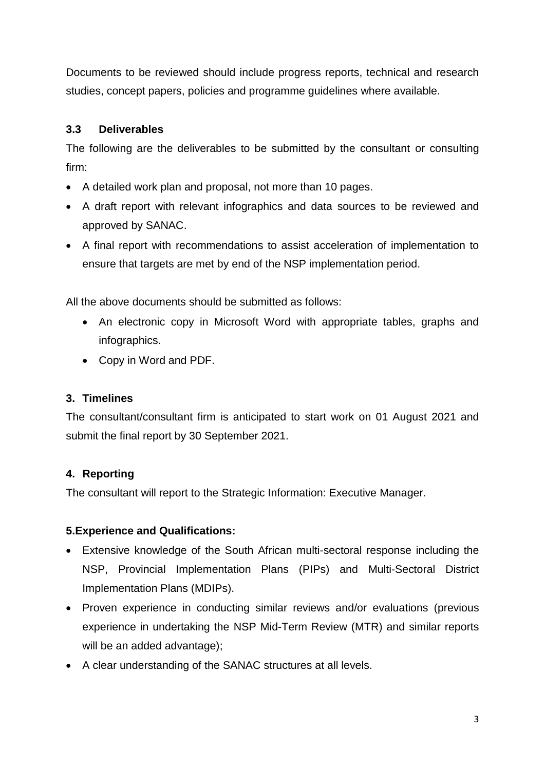Documents to be reviewed should include progress reports, technical and research studies, concept papers, policies and programme guidelines where available.

## **3.3 Deliverables**

The following are the deliverables to be submitted by the consultant or consulting firm:

- A detailed work plan and proposal, not more than 10 pages.
- A draft report with relevant infographics and data sources to be reviewed and approved by SANAC.
- A final report with recommendations to assist acceleration of implementation to ensure that targets are met by end of the NSP implementation period.

All the above documents should be submitted as follows:

- An electronic copy in Microsoft Word with appropriate tables, graphs and infographics.
- Copy in Word and PDF.

### **3. Timelines**

The consultant/consultant firm is anticipated to start work on 01 August 2021 and submit the final report by 30 September 2021.

### **4. Reporting**

The consultant will report to the Strategic Information: Executive Manager.

### **5.Experience and Qualifications:**

- Extensive knowledge of the South African multi-sectoral response including the NSP, Provincial Implementation Plans (PIPs) and Multi-Sectoral District Implementation Plans (MDIPs).
- Proven experience in conducting similar reviews and/or evaluations (previous experience in undertaking the NSP Mid-Term Review (MTR) and similar reports will be an added advantage):
- A clear understanding of the SANAC structures at all levels.